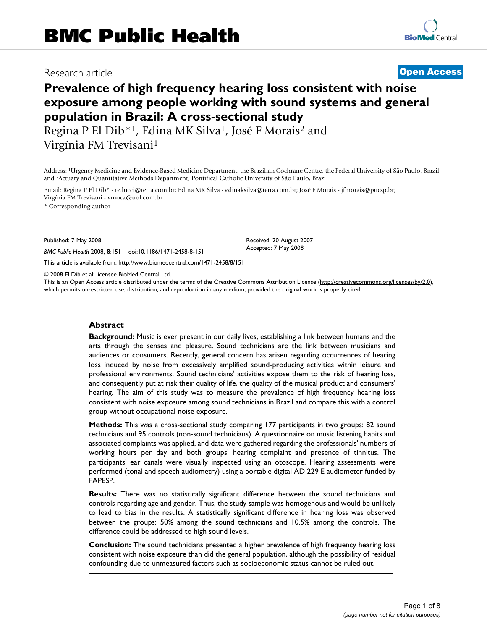## Research article **[Open Access](http://www.biomedcentral.com/info/about/charter/)**

# **Prevalence of high frequency hearing loss consistent with noise exposure among people working with sound systems and general population in Brazil: A cross-sectional study**

Regina P El Dib\*1, Edina MK Silva1, José F Morais2 and Virgínia FM Trevisani1

Address: 1Urgency Medicine and Evidence-Based Medicine Department, the Brazilian Cochrane Centre, the Federal University of São Paulo, Brazil and 2Actuary and Quantitative Methods Department, Pontifical Catholic University of São Paulo, Brazil

Email: Regina P El Dib\* - re.lucci@terra.com.br; Edina MK Silva - edinaksilva@terra.com.br; José F Morais - jfmorais@pucsp.br; Virgínia FM Trevisani - vmoca@uol.com.br

\* Corresponding author

Published: 7 May 2008

*BMC Public Health* 2008, **8**:151 doi:10.1186/1471-2458-8-151

[This article is available from: http://www.biomedcentral.com/1471-2458/8/151](http://www.biomedcentral.com/1471-2458/8/151)

© 2008 El Dib et al; licensee BioMed Central Ltd.

This is an Open Access article distributed under the terms of the Creative Commons Attribution License [\(http://creativecommons.org/licenses/by/2.0\)](http://creativecommons.org/licenses/by/2.0), which permits unrestricted use, distribution, and reproduction in any medium, provided the original work is properly cited.

Received: 20 August 2007 Accepted: 7 May 2008

#### **Abstract**

**Background:** Music is ever present in our daily lives, establishing a link between humans and the arts through the senses and pleasure. Sound technicians are the link between musicians and audiences or consumers. Recently, general concern has arisen regarding occurrences of hearing loss induced by noise from excessively amplified sound-producing activities within leisure and professional environments. Sound technicians' activities expose them to the risk of hearing loss, and consequently put at risk their quality of life, the quality of the musical product and consumers' hearing. The aim of this study was to measure the prevalence of high frequency hearing loss consistent with noise exposure among sound technicians in Brazil and compare this with a control group without occupational noise exposure.

**Methods:** This was a cross-sectional study comparing 177 participants in two groups: 82 sound technicians and 95 controls (non-sound technicians). A questionnaire on music listening habits and associated complaints was applied, and data were gathered regarding the professionals' numbers of working hours per day and both groups' hearing complaint and presence of tinnitus. The participants' ear canals were visually inspected using an otoscope. Hearing assessments were performed (tonal and speech audiometry) using a portable digital AD 229 E audiometer funded by FAPESP.

**Results:** There was no statistically significant difference between the sound technicians and controls regarding age and gender. Thus, the study sample was homogenous and would be unlikely to lead to bias in the results. A statistically significant difference in hearing loss was observed between the groups: 50% among the sound technicians and 10.5% among the controls. The difference could be addressed to high sound levels.

**Conclusion:** The sound technicians presented a higher prevalence of high frequency hearing loss consistent with noise exposure than did the general population, although the possibility of residual confounding due to unmeasured factors such as socioeconomic status cannot be ruled out.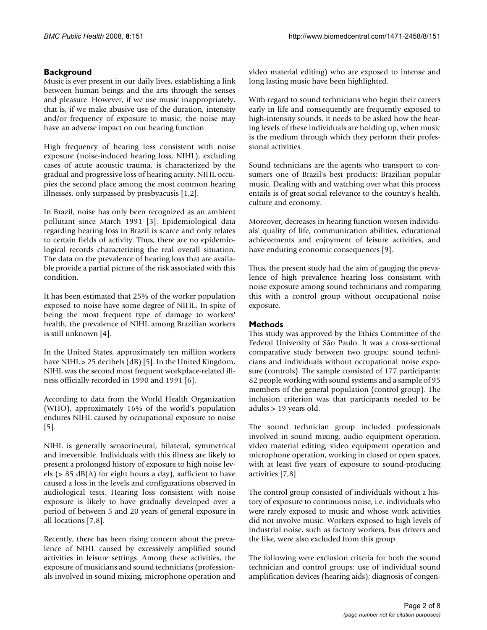### **Background**

Music is ever present in our daily lives, establishing a link between human beings and the arts through the senses and pleasure. However, if we use music inappropriately, that is, if we make abusive use of the duration, intensity and/or frequency of exposure to music, the noise may have an adverse impact on our hearing function.

High frequency of hearing loss consistent with noise exposure (noise-induced hearing loss, NIHL), excluding cases of acute acoustic trauma, is characterized by the gradual and progressive loss of hearing acuity. NIHL occupies the second place among the most common hearing illnesses, only surpassed by presbyacusis [1,2].

In Brazil, noise has only been recognized as an ambient pollutant since March 1991 [3]. Epidemiological data regarding hearing loss in Brazil is scarce and only relates to certain fields of activity. Thus, there are no epidemiological records characterizing the real overall situation. The data on the prevalence of hearing loss that are available provide a partial picture of the risk associated with this condition.

It has been estimated that 25% of the worker population exposed to noise have some degree of NIHL. In spite of being the most frequent type of damage to workers' health, the prevalence of NIHL among Brazilian workers is still unknown [4].

In the United States, approximately ten million workers have NIHL > 25 decibels (dB) [5]. In the United Kingdom, NIHL was the second most frequent workplace-related illness officially recorded in 1990 and 1991 [6].

According to data from the World Health Organization (WHO), approximately 16% of the world's population endures NIHL caused by occupational exposure to noise [5].

NIHL is generally sensorineural, bilateral, symmetrical and irreversible. Individuals with this illness are likely to present a prolonged history of exposure to high noise levels ( $> 85$  dB(A) for eight hours a day), sufficient to have caused a loss in the levels and configurations observed in audiological tests. Hearing loss consistent with noise exposure is likely to have gradually developed over a period of between 5 and 20 years of general exposure in all locations [7,8].

Recently, there has been rising concern about the prevalence of NIHL caused by excessively amplified sound activities in leisure settings. Among these activities, the exposure of musicians and sound technicians (professionals involved in sound mixing, microphone operation and

video material editing) who are exposed to intense and long lasting music have been highlighted.

With regard to sound technicians who begin their careers early in life and consequently are frequently exposed to high-intensity sounds, it needs to be asked how the hearing levels of these individuals are holding up, when music is the medium through which they perform their professional activities.

Sound technicians are the agents who transport to consumers one of Brazil's best products: Brazilian popular music. Dealing with and watching over what this process entails is of great social relevance to the country's health, culture and economy.

Moreover, decreases in hearing function worsen individuals' quality of life, communication abilities, educational achievements and enjoyment of leisure activities, and have enduring economic consequences [9].

Thus, the present study had the aim of gauging the prevalence of high prevalence hearing loss consistent with noise exposure among sound technicians and comparing this with a control group without occupational noise exposure.

### **Methods**

This study was approved by the Ethics Committee of the Federal University of São Paulo. It was a cross-sectional comparative study between two groups: sound technicians and individuals without occupational noise exposure (controls). The sample consisted of 177 participants: 82 people working with sound systems and a sample of 95 members of the general population (control group). The inclusion criterion was that participants needed to be adults > 19 years old.

The sound technician group included professionals involved in sound mixing, audio equipment operation, video material editing, video equipment operation and microphone operation, working in closed or open spaces, with at least five years of exposure to sound-producing activities [7,8].

The control group consisted of individuals without a history of exposure to continuous noise, i.e. individuals who were rarely exposed to music and whose work activities did not involve music. Workers exposed to high levels of industrial noise, such as factory workers, bus drivers and the like, were also excluded from this group.

The following were exclusion criteria for both the sound technician and control groups: use of individual sound amplification devices (hearing aids); diagnosis of congen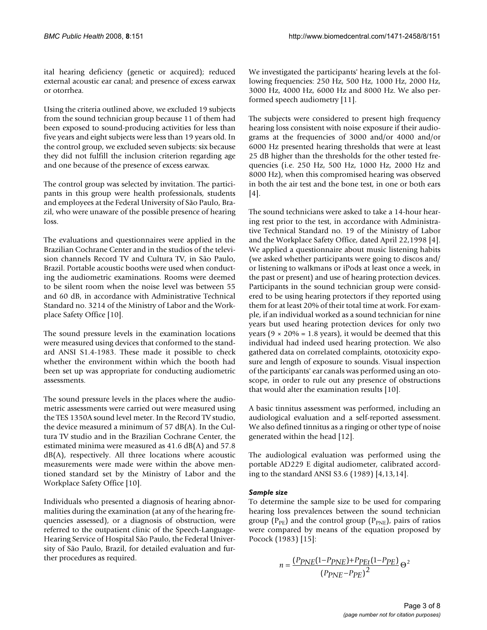ital hearing deficiency (genetic or acquired); reduced external acoustic ear canal; and presence of excess earwax or otorrhea.

Using the criteria outlined above, we excluded 19 subjects from the sound technician group because 11 of them had been exposed to sound-producing activities for less than five years and eight subjects were less than 19 years old. In the control group, we excluded seven subjects: six because they did not fulfill the inclusion criterion regarding age and one because of the presence of excess earwax.

The control group was selected by invitation. The participants in this group were health professionals, students and employees at the Federal University of São Paulo, Brazil, who were unaware of the possible presence of hearing loss.

The evaluations and questionnaires were applied in the Brazilian Cochrane Center and in the studios of the television channels Record TV and Cultura TV, in São Paulo, Brazil. Portable acoustic booths were used when conducting the audiometric examinations. Rooms were deemed to be silent room when the noise level was between 55 and 60 dB, in accordance with Administrative Technical Standard no. 3214 of the Ministry of Labor and the Workplace Safety Office [10].

The sound pressure levels in the examination locations were measured using devices that conformed to the standard ANSI S1.4-1983. These made it possible to check whether the environment within which the booth had been set up was appropriate for conducting audiometric assessments.

The sound pressure levels in the places where the audiometric assessments were carried out were measured using the TES 1350A sound level meter. In the Record TV studio, the device measured a minimum of 57 dB(A). In the Cultura TV studio and in the Brazilian Cochrane Center, the estimated minima were measured as 41.6 dB(A) and 57.8 dB(A), respectively. All three locations where acoustic measurements were made were within the above mentioned standard set by the Ministry of Labor and the Workplace Safety Office [10].

Individuals who presented a diagnosis of hearing abnormalities during the examination (at any of the hearing frequencies assessed), or a diagnosis of obstruction, were referred to the outpatient clinic of the Speech-Language-Hearing Service of Hospital São Paulo, the Federal University of São Paulo, Brazil, for detailed evaluation and further procedures as required.

We investigated the participants' hearing levels at the following frequencies: 250 Hz, 500 Hz, 1000 Hz, 2000 Hz, 3000 Hz, 4000 Hz, 6000 Hz and 8000 Hz. We also performed speech audiometry [11].

The subjects were considered to present high frequency hearing loss consistent with noise exposure if their audiograms at the frequencies of 3000 and/or 4000 and/or 6000 Hz presented hearing thresholds that were at least 25 dB higher than the thresholds for the other tested frequencies (i.e. 250 Hz, 500 Hz, 1000 Hz, 2000 Hz and 8000 Hz), when this compromised hearing was observed in both the air test and the bone test, in one or both ears [4].

The sound technicians were asked to take a 14-hour hearing rest prior to the test, in accordance with Administrative Technical Standard no. 19 of the Ministry of Labor and the Workplace Safety Office, dated April 22,1998 [4]. We applied a questionnaire about music listening habits (we asked whether participants were going to discos and/ or listening to walkmans or iPods at least once a week, in the past or present) and use of hearing protection devices. Participants in the sound technician group were considered to be using hearing protectors if they reported using them for at least 20% of their total time at work. For example, if an individual worked as a sound technician for nine years but used hearing protection devices for only two years (9  $\times$  20% = 1.8 years), it would be deemed that this individual had indeed used hearing protection. We also gathered data on correlated complaints, ototoxicity exposure and length of exposure to sounds. Visual inspection of the participants' ear canals was performed using an otoscope, in order to rule out any presence of obstructions that would alter the examination results [10].

A basic tinnitus assessment was performed, including an audiological evaluation and a self-reported assessment. We also defined tinnitus as a ringing or other type of noise generated within the head [12].

The audiological evaluation was performed using the portable AD229 E digital audiometer, calibrated according to the standard ANSI S3.6 (1989) [4,13,14].

#### *Sample size*

To determine the sample size to be used for comparing hearing loss prevalences between the sound technician group ( $P_{PF}$ ) and the control group ( $P_{PNE}$ ), pairs of ratios were compared by means of the equation proposed by Pocock (1983) [15]:

$$
n = \frac{\left(P_{PNE}(1-P_{PNE})+P_{PEt}(1-P_{PE})}{\left(P_{PNE}-P_{PE}\right)^2}\Theta^2
$$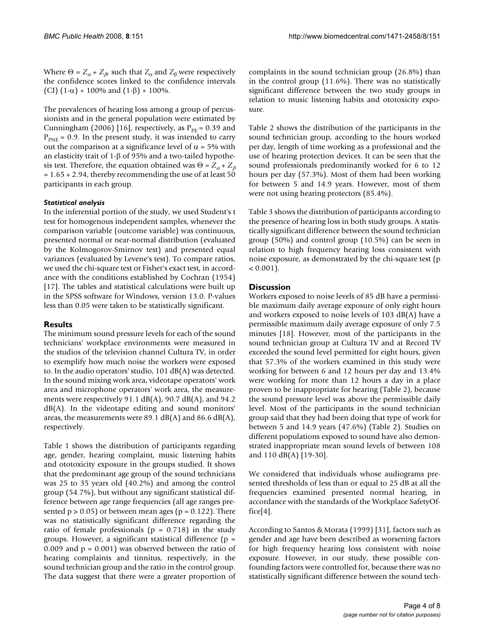Where  $\Theta = Z_{\alpha} + Z_{\beta}$  such that  $Z_{\alpha}$  and  $Z_{\beta}$  were respectively the confidence scores linked to the confidence intervals (CI) (1- $\alpha$ ) × 100% and (1- $\beta$ ) × 100%.

The prevalences of hearing loss among a group of percussionists and in the general population were estimated by Cunningham (2006) [16], respectively, as  $P_{PE}$  = 0.39 and  $P_{PNE}$  = 0.9. In the present study, it was intended to carry out the comparison at a significance level of  $\alpha$  = 5% with an elasticity trait of 1-β of 95% and a two-tailed hypothesis test. Therefore, the equation obtained was  $\Theta = Z_{\alpha} + Z_{\beta}$ = 1.65 + 2.94, thereby recommending the use of at least 50 participants in each group.

#### *Statistical analysis*

In the inferential portion of the study, we used Student's t test for homogenous independent samples, whenever the comparison variable (outcome variable) was continuous, presented normal or near-normal distribution (evaluated by the Kolmogorov-Smirnov test) and presented equal variances (evaluated by Levene's test). To compare ratios, we used the chi-square test or Fisher's exact test, in accordance with the conditions established by Cochran (1954) [17]. The tables and statistical calculations were built up in the SPSS software for Windows, version 13.0. P-values less than 0.05 were taken to be statistically significant.

#### **Results**

The minimum sound pressure levels for each of the sound technicians' workplace environments were measured in the studios of the television channel Cultura TV, in order to exemplify how much noise the workers were exposed to. In the audio operators' studio, 101 dB(A) was detected. In the sound mixing work area, videotape operators' work area and microphone operators' work area, the measurements were respectively 91.1 dB(A), 90.7 dB(A), and 94.2 dB(A). In the videotape editing and sound monitors' areas, the measurements were 89.1  $dB(A)$  and 86.6  $dB(A)$ , respectively.

Table 1 shows the distribution of participants regarding age, gender, hearing complaint, music listening habits and ototoxicity exposure in the groups studied. It shows that the predominant age group of the sound technicians was 25 to 35 years old (40.2%) and among the control group (54.7%), but without any significant statistical difference between age range frequencies (all age ranges presented  $p > 0.05$ ) or between mean ages ( $p = 0.122$ ). There was no statistically significant difference regarding the ratio of female professionals ( $p = 0.718$ ) in the study groups. However, a significant statistical difference ( $p =$ 0.009 and  $p = 0.001$ ) was observed between the ratio of hearing complaints and tinnitus, respectively, in the sound technician group and the ratio in the control group. The data suggest that there were a greater proportion of complaints in the sound technician group (26.8%) than in the control group (11.6%). There was no statistically significant difference between the two study groups in relation to music listening habits and ototoxicity exposure.

Table 2 shows the distribution of the participants in the sound technician group, according to the hours worked per day, length of time working as a professional and the use of hearing protection devices. It can be seen that the sound professionals predominantly worked for 6 to 12 hours per day (57.3%). Most of them had been working for between 5 and 14.9 years. However, most of them were not using hearing protectors (85.4%).

Table 3 shows the distribution of participants according to the presence of hearing loss in both study groups. A statistically significant difference between the sound technician group (50%) and control group (10.5%) can be seen in relation to high frequency hearing loss consistent with noise exposure, as demonstrated by the chi-square test (p  $< 0.001$ ).

#### **Discussion**

Workers exposed to noise levels of 85 dB have a permissible maximum daily average exposure of only eight hours and workers exposed to noise levels of 103 dB(A) have a permissible maximum daily average exposure of only 7.5 minutes [18]. However, most of the participants in the sound technician group at Cultura TV and at Record TV exceeded the sound level permitted for eight hours, given that 57.3% of the workers examined in this study were working for between 6 and 12 hours per day and 13.4% were working for more than 12 hours a day in a place proven to be inappropriate for hearing (Table 2), because the sound pressure level was above the permissible daily level. Most of the participants in the sound technician group said that they had been doing that type of work for between 5 and 14.9 years (47.6%) (Table 2). Studies on different populations exposed to sound have also demonstrated inappropriate mean sound levels of between 108 and 110 dB(A) [19-30].

We considered that individuals whose audiograms presented thresholds of less than or equal to 25 dB at all the frequencies examined presented normal hearing, in accordance with the standards of the Workplace SafetyOffice[ $4$ ].

According to Santos & Morata (1999) [31], factors such as gender and age have been described as worsening factors for high frequency hearing loss consistent with noise exposure. However, in our study, these possible confounding factors were controlled for, because there was no statistically significant difference between the sound tech-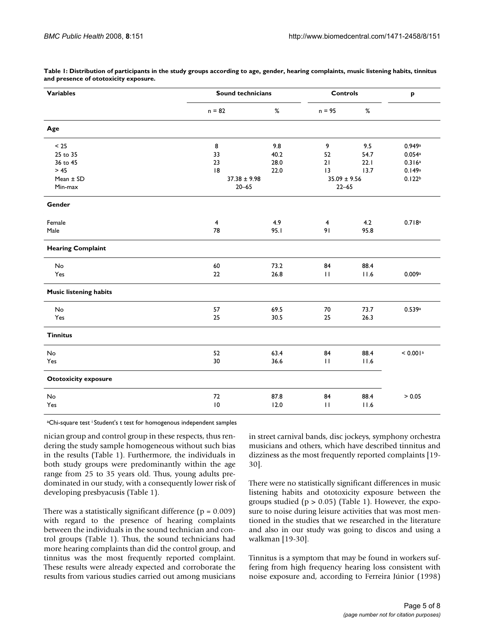| <b>Variables</b>              | <b>Sound technicians</b> |           | <b>Controls</b>         |           | P                  |
|-------------------------------|--------------------------|-----------|-------------------------|-----------|--------------------|
|                               | $n = 82$                 | $\%$      | $n = 95$                | $\%$      |                    |
| Age                           |                          |           |                         |           |                    |
| < 25                          | 8                        | 9.8       | 9                       | 9.5       | 0.949a             |
| 25 to 35                      | 33                       | 40.2      | 52                      | 54.7      | 0.054a             |
| 36 to 45                      | 23                       | 28.0      | 21                      | 22.1      | 0.316a             |
| > 45                          | 8                        | 22.0      | 13                      | 13.7      | 0.149a             |
| Mean ± SD                     | $37.38 \pm 9.98$         |           | $35.09 \pm 9.56$        |           | 0.122 <sup>b</sup> |
| Min-max                       |                          | $20 - 65$ |                         | $22 - 65$ |                    |
| Gender                        |                          |           |                         |           |                    |
| Female                        | $\overline{\mathbf{4}}$  | 4.9       | $\overline{\mathbf{4}}$ | 4.2       | 0.718a             |
| Male                          | 78                       | 95.1      | 91                      | 95.8      |                    |
| <b>Hearing Complaint</b>      |                          |           |                         |           |                    |
| No                            | 60                       | 73.2      | 84                      | 88.4      |                    |
| Yes                           | 22                       | 26.8      | $\mathbf{H}$            | 11.6      | 0.009a             |
| <b>Music listening habits</b> |                          |           |                         |           |                    |
| No                            | 57                       | 69.5      | 70                      | 73.7      | 0.539a             |
| Yes                           | 25                       | 30.5      | 25                      | 26.3      |                    |
| <b>Tinnitus</b>               |                          |           |                         |           |                    |
| No                            | 52                       | 63.4      | 84                      | 88.4      | < 0.001a           |
| Yes                           | 30                       | 36.6      | $\mathbf{H}$            | 11.6      |                    |
| <b>Ototoxicity exposure</b>   |                          |           |                         |           |                    |
| No                            | 72                       | 87.8      | 84                      | 88.4      | > 0.05             |
| Yes                           | 10                       | 12.0      | $\mathbf{H}$            | 11.6      |                    |

**Table 1: Distribution of participants in the study groups according to age, gender, hearing complaints, music listening habits, tinnitus and presence of ototoxicity exposure.**

aChi-square test i Student's t test for homogenous independent samples

nician group and control group in these respects, thus rendering the study sample homogeneous without such bias in the results (Table 1). Furthermore, the individuals in both study groups were predominantly within the age range from 25 to 35 years old. Thus, young adults predominated in our study, with a consequently lower risk of developing presbyacusis (Table 1).

There was a statistically significant difference  $(p = 0.009)$ with regard to the presence of hearing complaints between the individuals in the sound technician and control groups (Table 1). Thus, the sound technicians had more hearing complaints than did the control group, and tinnitus was the most frequently reported complaint. These results were already expected and corroborate the results from various studies carried out among musicians in street carnival bands, disc jockeys, symphony orchestra musicians and others, which have described tinnitus and dizziness as the most frequently reported complaints [19- 30].

There were no statistically significant differences in music listening habits and ototoxicity exposure between the groups studied ( $p > 0.05$ ) (Table 1). However, the exposure to noise during leisure activities that was most mentioned in the studies that we researched in the literature and also in our study was going to discos and using a walkman [19-30].

Tinnitus is a symptom that may be found in workers suffering from high frequency hearing loss consistent with noise exposure and, according to Ferreira Júnior (1998)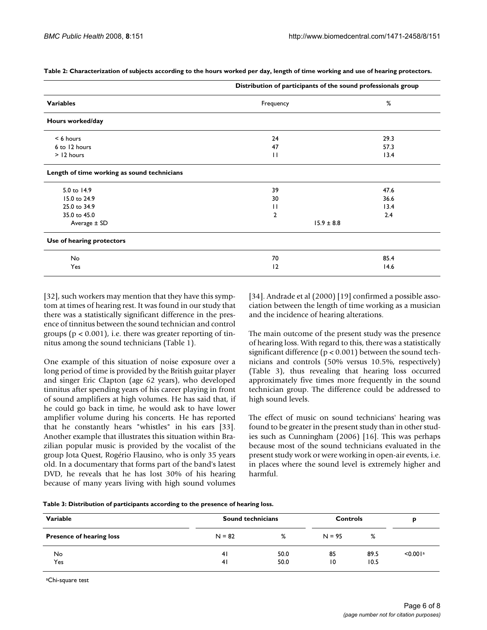|                                             | Distribution of participants of the sound professionals group |      |  |  |
|---------------------------------------------|---------------------------------------------------------------|------|--|--|
| <b>Variables</b>                            | Frequency                                                     | %    |  |  |
| Hours worked/day                            |                                                               |      |  |  |
| $< 6$ hours                                 | 24                                                            | 29.3 |  |  |
| 6 to 12 hours                               | 47                                                            | 57.3 |  |  |
| $> 12$ hours                                | $\mathbf{H}$                                                  | 13.4 |  |  |
| Length of time working as sound technicians |                                                               |      |  |  |
| 5.0 to 14.9                                 | 39                                                            | 47.6 |  |  |
| 15.0 to 24.9                                | 30                                                            | 36.6 |  |  |
| 25.0 to 34.9                                | $\mathbf{1}$                                                  | 13.4 |  |  |
| 35.0 to 45.0                                | $\overline{2}$                                                | 2.4  |  |  |
| Average $\pm$ SD                            | $15.9 \pm 8.8$                                                |      |  |  |
| Use of hearing protectors                   |                                                               |      |  |  |
| No                                          | 70                                                            | 85.4 |  |  |
| Yes                                         | 12                                                            | 14.6 |  |  |
|                                             |                                                               |      |  |  |

**Table 2: Characterization of subjects according to the hours worked per day, length of time working and use of hearing protectors.**

[32], such workers may mention that they have this symptom at times of hearing rest. It was found in our study that there was a statistically significant difference in the presence of tinnitus between the sound technician and control groups ( $p < 0.001$ ), i.e. there was greater reporting of tinnitus among the sound technicians (Table 1).

One example of this situation of noise exposure over a long period of time is provided by the British guitar player and singer Eric Clapton (age 62 years), who developed tinnitus after spending years of his career playing in front of sound amplifiers at high volumes. He has said that, if he could go back in time, he would ask to have lower amplifier volume during his concerts. He has reported that he constantly hears "whistles" in his ears [33]. Another example that illustrates this situation within Brazilian popular music is provided by the vocalist of the group Jota Quest, Rogério Flausino, who is only 35 years old. In a documentary that forms part of the band's latest DVD, he reveals that he has lost 30% of his hearing because of many years living with high sound volumes

[34]. Andrade et al (2000) [19] confirmed a possible association between the length of time working as a musician and the incidence of hearing alterations.

The main outcome of the present study was the presence of hearing loss. With regard to this, there was a statistically significant difference ( $p < 0.001$ ) between the sound technicians and controls (50% versus 10.5%, respectively) (Table 3), thus revealing that hearing loss occurred approximately five times more frequently in the sound technician group. The difference could be addressed to high sound levels.

The effect of music on sound technicians' hearing was found to be greater in the present study than in other studies such as Cunningham (2006) [16]. This was perhaps because most of the sound technicians evaluated in the present study work or were working in open-air events, i.e. in places where the sound level is extremely higher and harmful.

|  | Table 3: Distribution of participants according to the presence of hearing loss. |  |
|--|----------------------------------------------------------------------------------|--|
|  |                                                                                  |  |

| Variable                        | <b>Sound technicians</b> |      | <b>Controls</b> |      | D        |
|---------------------------------|--------------------------|------|-----------------|------|----------|
| <b>Presence of hearing loss</b> | $N = 82$                 | %    | $N = 95$        | %    |          |
| No                              | 41                       | 50.0 | 85              | 89.5 | < 0.001a |
| Yes                             | 41                       | 50.0 | 10              | 10.5 |          |

aChi-square test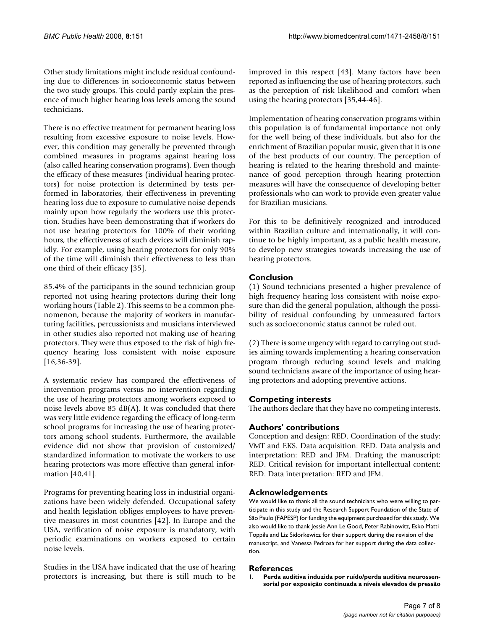Other study limitations might include residual confounding due to differences in socioeconomic status between the two study groups. This could partly explain the presence of much higher hearing loss levels among the sound technicians.

There is no effective treatment for permanent hearing loss resulting from excessive exposure to noise levels. However, this condition may generally be prevented through combined measures in programs against hearing loss (also called hearing conservation programs). Even though the efficacy of these measures (individual hearing protectors) for noise protection is determined by tests performed in laboratories, their effectiveness in preventing hearing loss due to exposure to cumulative noise depends mainly upon how regularly the workers use this protection. Studies have been demonstrating that if workers do not use hearing protectors for 100% of their working hours, the effectiveness of such devices will diminish rapidly. For example, using hearing protectors for only 90% of the time will diminish their effectiveness to less than one third of their efficacy [35].

85.4% of the participants in the sound technician group reported not using hearing protectors during their long working hours (Table 2). This seems to be a common phenomenon, because the majority of workers in manufacturing facilities, percussionists and musicians interviewed in other studies also reported not making use of hearing protectors. They were thus exposed to the risk of high frequency hearing loss consistent with noise exposure [16,36-39].

A systematic review has compared the effectiveness of intervention programs versus no intervention regarding the use of hearing protectors among workers exposed to noise levels above 85 dB(A). It was concluded that there was very little evidence regarding the efficacy of long-term school programs for increasing the use of hearing protectors among school students. Furthermore, the available evidence did not show that provision of customized/ standardized information to motivate the workers to use hearing protectors was more effective than general information [40,41].

Programs for preventing hearing loss in industrial organizations have been widely defended. Occupational safety and health legislation obliges employees to have preventive measures in most countries [42]. In Europe and the USA, verification of noise exposure is mandatory, with periodic examinations on workers exposed to certain noise levels.

Studies in the USA have indicated that the use of hearing protectors is increasing, but there is still much to be improved in this respect [43]. Many factors have been reported as influencing the use of hearing protectors, such as the perception of risk likelihood and comfort when using the hearing protectors [35,44-46].

Implementation of hearing conservation programs within this population is of fundamental importance not only for the well being of these individuals, but also for the enrichment of Brazilian popular music, given that it is one of the best products of our country. The perception of hearing is related to the hearing threshold and maintenance of good perception through hearing protection measures will have the consequence of developing better professionals who can work to provide even greater value for Brazilian musicians.

For this to be definitively recognized and introduced within Brazilian culture and internationally, it will continue to be highly important, as a public health measure, to develop new strategies towards increasing the use of hearing protectors.

### **Conclusion**

(1) Sound technicians presented a higher prevalence of high frequency hearing loss consistent with noise exposure than did the general population, although the possibility of residual confounding by unmeasured factors such as socioeconomic status cannot be ruled out.

(2) There is some urgency with regard to carrying out studies aiming towards implementing a hearing conservation program through reducing sound levels and making sound technicians aware of the importance of using hearing protectors and adopting preventive actions.

### **Competing interests**

The authors declare that they have no competing interests.

#### **Authors' contributions**

Conception and design: RED. Coordination of the study: VMT and EKS. Data acquisition: RED. Data analysis and interpretation: RED and JFM. Drafting the manuscript: RED. Critical revision for important intellectual content: RED. Data interpretation: RED and JFM.

#### **Acknowledgements**

We would like to thank all the sound technicians who were willing to participate in this study and the Research Support Foundation of the State of São Paulo (FAPESP) for funding the equipment purchased for this study. We also would like to thank Jessie Ann Le Good, Peter Rabinowitz, Esko Matti Toppila and Liz Sidorkewicz for their support during the revision of the manuscript, and Vanessa Pedrosa for her support during the data collection.

#### **References**

1. **Perda auditiva induzida por ruído/perda auditiva neurossensorial por exposição continuada a níveis elevados de pressão**